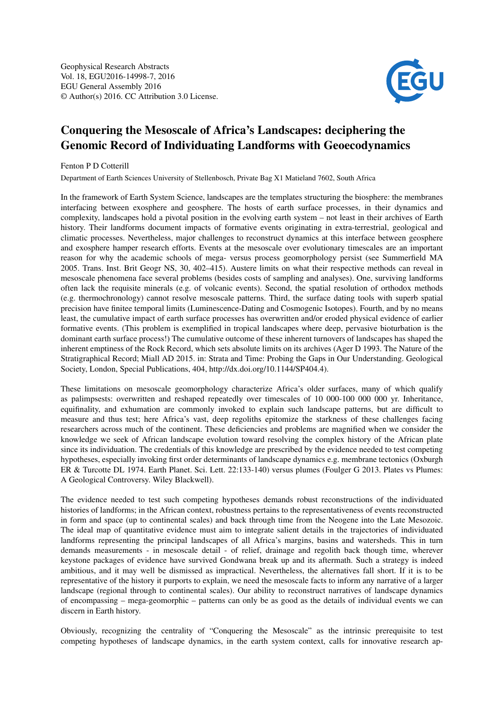

## Conquering the Mesoscale of Africa's Landscapes: deciphering the Genomic Record of Individuating Landforms with Geoecodynamics

Fenton P D Cotterill

Department of Earth Sciences University of Stellenbosch, Private Bag X1 Matieland 7602, South Africa

In the framework of Earth System Science, landscapes are the templates structuring the biosphere: the membranes interfacing between exosphere and geosphere. The hosts of earth surface processes, in their dynamics and complexity, landscapes hold a pivotal position in the evolving earth system – not least in their archives of Earth history. Their landforms document impacts of formative events originating in extra-terrestrial, geological and climatic processes. Nevertheless, major challenges to reconstruct dynamics at this interface between geosphere and exosphere hamper research efforts. Events at the mesoscale over evolutionary timescales are an important reason for why the academic schools of mega- versus process geomorphology persist (see Summerfield MA 2005. Trans. Inst. Brit Geogr NS, 30, 402–415). Austere limits on what their respective methods can reveal in mesoscale phenomena face several problems (besides costs of sampling and analyses). One, surviving landforms often lack the requisite minerals (e.g. of volcanic events). Second, the spatial resolution of orthodox methods (e.g. thermochronology) cannot resolve mesoscale patterns. Third, the surface dating tools with superb spatial precision have finitee temporal limits (Luminescence-Dating and Cosmogenic Isotopes). Fourth, and by no means least, the cumulative impact of earth surface processes has overwritten and/or eroded physical evidence of earlier formative events. (This problem is exemplified in tropical landscapes where deep, pervasive bioturbation is the dominant earth surface process!) The cumulative outcome of these inherent turnovers of landscapes has shaped the inherent emptiness of the Rock Record, which sets absolute limits on its archives (Ager D 1993. The Nature of the Stratigraphical Record; Miall AD 2015. in: Strata and Time: Probing the Gaps in Our Understanding. Geological Society, London, Special Publications, 404, http://dx.doi.org/10.1144/SP404.4).

These limitations on mesoscale geomorphology characterize Africa's older surfaces, many of which qualify as palimpsests: overwritten and reshaped repeatedly over timescales of 10 000-100 000 000 yr. Inheritance, equifinality, and exhumation are commonly invoked to explain such landscape patterns, but are difficult to measure and thus test; here Africa's vast, deep regoliths epitomize the starkness of these challenges facing researchers across much of the continent. These deficiencies and problems are magnified when we consider the knowledge we seek of African landscape evolution toward resolving the complex history of the African plate since its individuation. The credentials of this knowledge are prescribed by the evidence needed to test competing hypotheses, especially invoking first order determinants of landscape dynamics e.g. membrane tectonics (Oxburgh ER & Turcotte DL 1974. Earth Planet. Sci. Lett. 22:133-140) versus plumes (Foulger G 2013. Plates vs Plumes: A Geological Controversy. Wiley Blackwell).

The evidence needed to test such competing hypotheses demands robust reconstructions of the individuated histories of landforms; in the African context, robustness pertains to the representativeness of events reconstructed in form and space (up to continental scales) and back through time from the Neogene into the Late Mesozoic. The ideal map of quantitative evidence must aim to integrate salient details in the trajectories of individuated landforms representing the principal landscapes of all Africa's margins, basins and watersheds. This in turn demands measurements - in mesoscale detail - of relief, drainage and regolith back though time, wherever keystone packages of evidence have survived Gondwana break up and its aftermath. Such a strategy is indeed ambitious, and it may well be dismissed as impractical. Nevertheless, the alternatives fall short. If it is to be representative of the history it purports to explain, we need the mesoscale facts to inform any narrative of a larger landscape (regional through to continental scales). Our ability to reconstruct narratives of landscape dynamics of encompassing – mega-geomorphic – patterns can only be as good as the details of individual events we can discern in Earth history.

Obviously, recognizing the centrality of "Conquering the Mesoscale" as the intrinsic prerequisite to test competing hypotheses of landscape dynamics, in the earth system context, calls for innovative research ap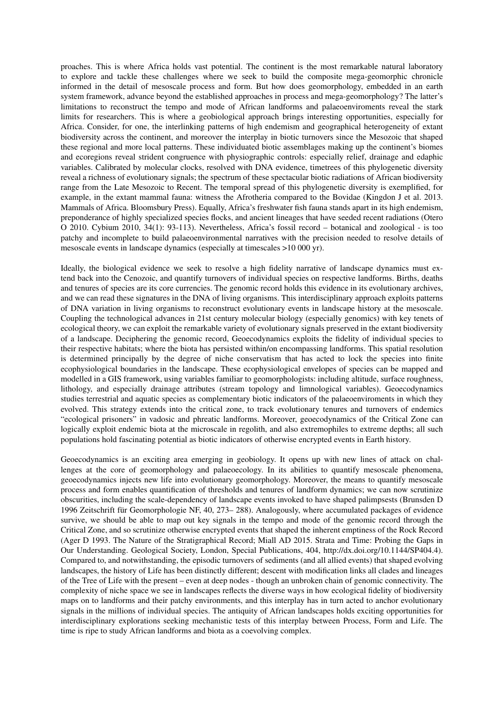proaches. This is where Africa holds vast potential. The continent is the most remarkable natural laboratory to explore and tackle these challenges where we seek to build the composite mega-geomorphic chronicle informed in the detail of mesoscale process and form. But how does geomorphology, embedded in an earth system framework, advance beyond the established approaches in process and mega-geomorphology? The latter's limitations to reconstruct the tempo and mode of African landforms and palaeoenviroments reveal the stark limits for researchers. This is where a geobiological approach brings interesting opportunities, especially for Africa. Consider, for one, the interlinking patterns of high endemism and geographical heterogeneity of extant biodiversity across the continent, and moreover the interplay in biotic turnovers since the Mesozoic that shaped these regional and more local patterns. These individuated biotic assemblages making up the continent's biomes and ecoregions reveal strident congruence with physiographic controls: especially relief, drainage and edaphic variables. Calibrated by molecular clocks, resolved with DNA evidence, timetrees of this phylogenetic diversity reveal a richness of evolutionary signals; the spectrum of these spectacular biotic radiations of African biodiversity range from the Late Mesozoic to Recent. The temporal spread of this phylogenetic diversity is exemplified, for example, in the extant mammal fauna: witness the Afrotheria compared to the Bovidae (Kingdon J et al. 2013. Mammals of Africa. Bloomsbury Press). Equally, Africa's freshwater fish fauna stands apart in its high endemism, preponderance of highly specialized species flocks, and ancient lineages that have seeded recent radiations (Otero O 2010. Cybium 2010, 34(1): 93-113). Nevertheless, Africa's fossil record – botanical and zoological - is too patchy and incomplete to build palaeoenvironmental narratives with the precision needed to resolve details of mesoscale events in landscape dynamics (especially at timescales >10 000 yr).

Ideally, the biological evidence we seek to resolve a high fidelity narrative of landscape dynamics must extend back into the Cenozoic, and quantify turnovers of individual species on respective landforms. Births, deaths and tenures of species are its core currencies. The genomic record holds this evidence in its evolutionary archives, and we can read these signatures in the DNA of living organisms. This interdisciplinary approach exploits patterns of DNA variation in living organisms to reconstruct evolutionary events in landscape history at the mesoscale. Coupling the technological advances in 21st century molecular biology (especially genomics) with key tenets of ecological theory, we can exploit the remarkable variety of evolutionary signals preserved in the extant biodiversity of a landscape. Deciphering the genomic record, Geoecodynamics exploits the fidelity of individual species to their respective habitats; where the biota has persisted within/on encompassing landforms. This spatial resolution is determined principally by the degree of niche conservatism that has acted to lock the species into finite ecophysiological boundaries in the landscape. These ecophysiological envelopes of species can be mapped and modelled in a GIS framework, using variables familiar to geomorphologists: including altitude, surface roughness, lithology, and especially drainage attributes (stream topology and limnological variables). Geoecodynamics studies terrestrial and aquatic species as complementary biotic indicators of the palaeoenviroments in which they evolved. This strategy extends into the critical zone, to track evolutionary tenures and turnovers of endemics "ecological prisoners" in vadosic and phreatic landforms. Moreover, geoecodynamics of the Critical Zone can logically exploit endemic biota at the microscale in regolith, and also extremophiles to extreme depths; all such populations hold fascinating potential as biotic indicators of otherwise encrypted events in Earth history.

Geoecodynamics is an exciting area emerging in geobiology. It opens up with new lines of attack on challenges at the core of geomorphology and palaeoecology. In its abilities to quantify mesoscale phenomena, geoecodynamics injects new life into evolutionary geomorphology. Moreover, the means to quantify mesoscale process and form enables quantification of thresholds and tenures of landform dynamics; we can now scrutinize obscurities, including the scale-dependency of landscape events invoked to have shaped palimpsests (Brunsden D 1996 Zeitschrift für Geomorphologie NF, 40, 273– 288). Analogously, where accumulated packages of evidence survive, we should be able to map out key signals in the tempo and mode of the genomic record through the Critical Zone, and so scrutinize otherwise encrypted events that shaped the inherent emptiness of the Rock Record (Ager D 1993. The Nature of the Stratigraphical Record; Miall AD 2015. Strata and Time: Probing the Gaps in Our Understanding. Geological Society, London, Special Publications, 404, http://dx.doi.org/10.1144/SP404.4). Compared to, and notwithstanding, the episodic turnovers of sediments (and all allied events) that shaped evolving landscapes, the history of Life has been distinctly different; descent with modification links all clades and lineages of the Tree of Life with the present – even at deep nodes - though an unbroken chain of genomic connectivity. The complexity of niche space we see in landscapes reflects the diverse ways in how ecological fidelity of biodiversity maps on to landforms and their patchy environments, and this interplay has in turn acted to anchor evolutionary signals in the millions of individual species. The antiquity of African landscapes holds exciting opportunities for interdisciplinary explorations seeking mechanistic tests of this interplay between Process, Form and Life. The time is ripe to study African landforms and biota as a coevolving complex.